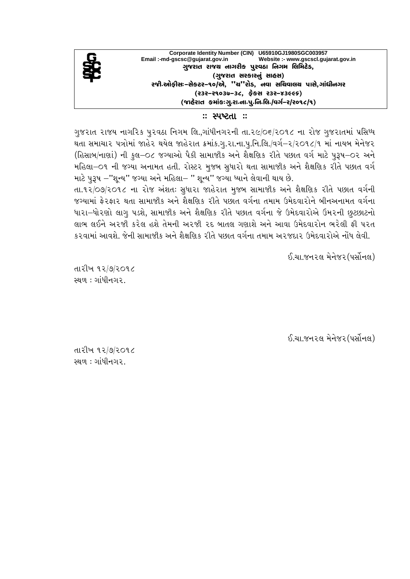

## $\therefore$  સ્પષ્ટતા $\therefore$

ગુજરાત રાજય નાગરિક પુરવઠા નિગમ લિ.,ગાંધીનગરની તા.૨૯/૦૬/૨૦૧૮ ના રોજ ગુજરાતમાં પ્રસિધ્ધ થતા સમાચાર પત્રોમાં જાહેર થયેલ જાહેરાત ક્રમાંક.ગૃ.રા.ના.પૃ.નિ.લિ./વર્ગ-ર/ર**ા** ૮/૧ માં નાયબ મેનેજર (હિસાબ/નાણાં) ની કુલ-૦૮ જગ્યાઓ પૈકી સામાજીક અને શૈક્ષણિક રીતે પછાત વર્ગ માટે પરૂષ-૦૨ અને મહિલા-૦૧ ની જગ્યા અનામત હતી. રોસ્ટર મુજબ સુધારો થતા સામાજીક અને શૈક્ષણિક રીતે પછાત વર્ગ માટે પુરૂષ –''શુન્ય'' જગ્યા અને મહિલા– '' શુન્ય'' જગ્યા ધ્યાને લેવાની થાય છે.

તા.૧૨/૦૭/૨૦૧૮ ના રોજ અંશતઃ સુધારા જાહેરાત મુજબ સામાજીક અને શૈક્ષણિક રીતે પછાત વર્ગની જગ્યામાં ફેરફાર થતા સામાજીક અને શૈક્ષણિક રીતે પછાત વર્ગના તમામ ઉમેદવારોને બીનઅનામત વર્ગના ધારા–ધોરણો લાગુ પડશે, સામાજીક અને શૈક્ષણિક રીતે પછાત વર્ગના જે ઉમેદવારોએ ઉમરની છુટછાટનો લાભ લઈને અરજી કરેલ હશે તેમની અરજી રદ બાતલ ગણાશે અને આવા ઉમેદવારોન ભરેલી ફી પરત કરવામાં આવશે. જેની સામાજીક અને શૈક્ષણિક રીતે પછાત વર્ગના તમામ અરજદાર ઉમેદવારોએ નોંધ લેવી.

ઈ.ચા.જનરલ મેનેજર (પર્સોનલ)

તારીખ ૧૨/૭/૨૦૧૮ સ્થળ $:$  ગાંધીનગર $\Box$ 

ઈ.ચા.જનરલ મેનેજર (પર્સોનલ)

તારીખ ૧૨/૭/૨૦૧૮ સ્થળ $:$  ગાંધીનગર $.$